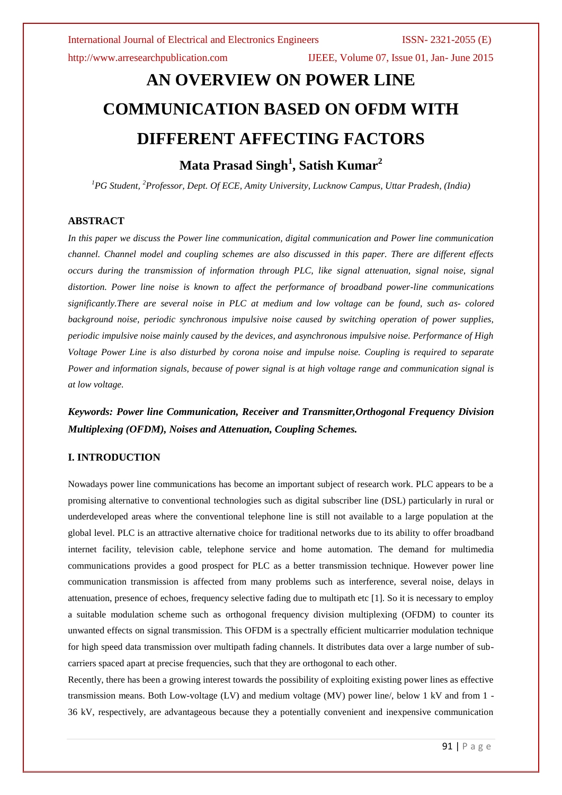# **AN OVERVIEW ON POWER LINE COMMUNICATION BASED ON OFDM WITH DIFFERENT AFFECTING FACTORS Mata Prasad Singh<sup>1</sup> , Satish Kumar<sup>2</sup>**

*<sup>1</sup>PG Student, <sup>2</sup>Professor, Dept. Of ECE, Amity University, Lucknow Campus, Uttar Pradesh, (India)*

## **ABSTRACT**

*In this paper we discuss the Power line communication, digital communication and Power line communication channel. Channel model and coupling schemes are also discussed in this paper. There are different effects occurs during the transmission of information through PLC, like signal attenuation, signal noise, signal distortion. Power line noise is known to affect the performance of broadband power-line communications significantly.There are several noise in PLC at medium and low voltage can be found, such as- colored background noise, periodic synchronous impulsive noise caused by switching operation of power supplies, periodic impulsive noise mainly caused by the devices, and asynchronous impulsive noise. Performance of High Voltage Power Line is also disturbed by corona noise and impulse noise. Coupling is required to separate Power and information signals, because of power signal is at high voltage range and communication signal is at low voltage.*

*Keywords: Power line Communication, Receiver and Transmitter,Orthogonal Frequency Division Multiplexing (OFDM), Noises and Attenuation, Coupling Schemes.*

# **I. INTRODUCTION**

Nowadays power line communications has become an important subject of research work. PLC appears to be a promising alternative to conventional technologies such as digital subscriber line (DSL) particularly in rural or underdeveloped areas where the conventional telephone line is still not available to a large population at the global level. PLC is an attractive alternative choice for traditional networks due to its ability to offer broadband internet facility, television cable, telephone service and home automation. The demand for multimedia communications provides a good prospect for PLC as a better transmission technique. However power line communication transmission is affected from many problems such as interference, several noise, delays in attenuation, presence of echoes, frequency selective fading due to multipath etc [1]. So it is necessary to employ a suitable modulation scheme such as orthogonal frequency division multiplexing (OFDM) to counter its unwanted effects on signal transmission. This OFDM is a spectrally efficient multicarrier modulation technique for high speed data transmission over multipath fading channels. It distributes data over a large number of subcarriers spaced apart at precise frequencies, such that they are orthogonal to each other.

Recently, there has been a growing interest towards the possibility of exploiting existing power lines as effective transmission means. Both Low-voltage (LV) and medium voltage (MV) power line/, below 1 kV and from 1 - 36 kV, respectively, are advantageous because they a potentially convenient and inexpensive communication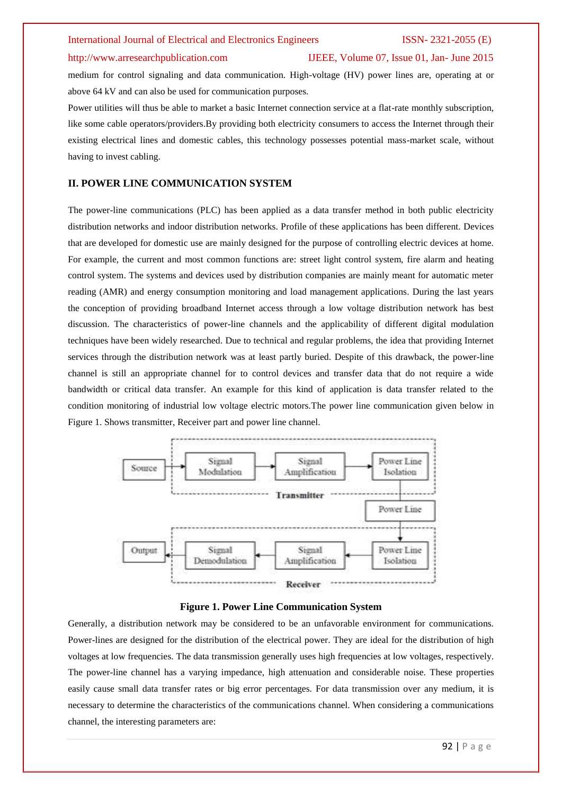### http://www.arresearchpublication.com IJEEE, Volume 07, Issue 01, Jan- June 2015

medium for control signaling and data communication. High-voltage (HV) power lines are, operating at or above 64 kV and can also be used for communication purposes.

Power utilities will thus be able to market a basic Internet connection service at a flat-rate monthly subscription, like some cable operators/providers.By providing both electricity consumers to access the Internet through their existing electrical lines and domestic cables, this technology possesses potential mass-market scale, without having to invest cabling.

# **II. POWER LINE COMMUNICATION SYSTEM**

The power-line communications (PLC) has been applied as a data transfer method in both public electricity distribution networks and indoor distribution networks. Profile of these applications has been different. Devices that are developed for domestic use are mainly designed for the purpose of controlling electric devices at home. For example, the current and most common functions are: street light control system, fire alarm and heating control system. The systems and devices used by distribution companies are mainly meant for automatic meter reading (AMR) and energy consumption monitoring and load management applications. During the last years the conception of providing broadband Internet access through a low voltage distribution network has best discussion. The characteristics of power-line channels and the applicability of different digital modulation techniques have been widely researched. Due to technical and regular problems, the idea that providing Internet services through the distribution network was at least partly buried. Despite of this drawback, the power-line channel is still an appropriate channel for to control devices and transfer data that do not require a wide bandwidth or critical data transfer. An example for this kind of application is data transfer related to the condition monitoring of industrial low voltage electric motors.The power line communication given below in Figure 1. Shows transmitter, Receiver part and power line channel.



#### **Figure 1. Power Line Communication System**

Generally, a distribution network may be considered to be an unfavorable environment for communications. Power-lines are designed for the distribution of the electrical power. They are ideal for the distribution of high voltages at low frequencies. The data transmission generally uses high frequencies at low voltages, respectively. The power-line channel has a varying impedance, high attenuation and considerable noise. These properties easily cause small data transfer rates or big error percentages. For data transmission over any medium, it is necessary to determine the characteristics of the communications channel. When considering a communications channel, the interesting parameters are: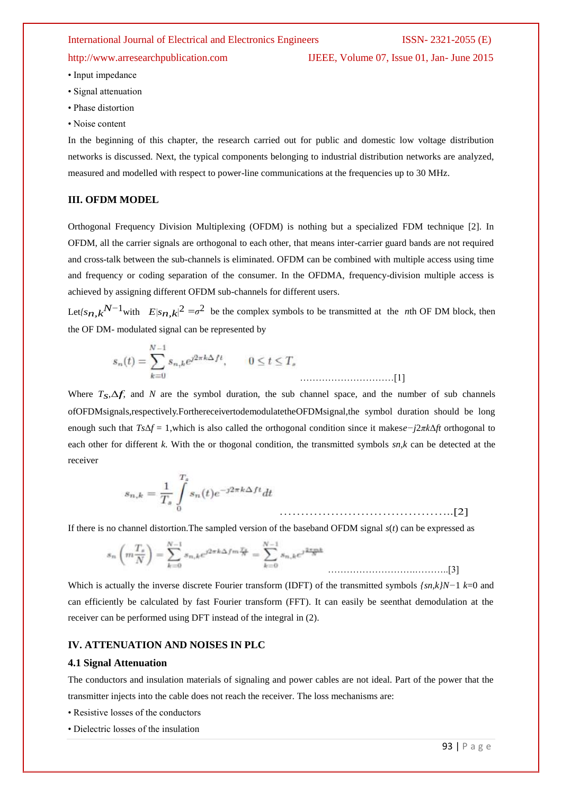http://www.arresearchpublication.com IJEEE, Volume 07, Issue 01, Jan- June 2015

- Input impedance
- Signal attenuation
- Phase distortion
- Noise content

In the beginning of this chapter, the research carried out for public and domestic low voltage distribution networks is discussed. Next, the typical components belonging to industrial distribution networks are analyzed, measured and modelled with respect to power-line communications at the frequencies up to 30 MHz.

# **III. OFDM MODEL**

Orthogonal Frequency Division Multiplexing (OFDM) is nothing but a specialized [FDM](http://en.wikipedia.org/wiki/Frequency-division_multiplexing) technique [2]. In OFDM, all the carrier signals are orthogonal to each other, that means inter-carrier guard bands are not required and [cross-talk](http://en.wikipedia.org/wiki/Crosstalk_%28electronics%29) between the sub-channels is eliminated. OFDM can be combined with [multiple access](http://en.wikipedia.org/wiki/Multiple_access) using time and frequency or coding separation of the consumer. In the OFDMA, [frequency-division multiple access](http://en.wikipedia.org/wiki/Frequency-division_multiple_access) is achieved by assigning different OFDM sub-channels for different users.

Let $[s_n, k^{N-1}$ with  $E|s_n, k|^2 = \sigma^2$  be the complex symbols to be transmitted at the *n*th OF DM block, then the OF DM- modulated signal can be represented by

$$
s_n(t) = \sum_{k=0}^{N-1} s_{n,k} e^{j2\pi k \Delta f t}, \qquad 0 \le t \le T,
$$

Where  $T_s \Delta f$ , and *N* are the symbol duration, the sub channel space, and the number of sub channels ofOFDMsignals,respectively.ForthereceivertodemodulatetheOFDMsignal,the symbol duration should be long enough such that *Ts*Δ*f* = 1,which is also called the orthogonal condition since it makes*e−j*2*πk*Δ*ft* orthogonal to each other for different *k*. With the or thogonal condition, the transmitted symbols *sn,k* can be detected at the receiver

$$
s_{n,k} = \frac{1}{T_s} \int_{0}^{T_s} s_n(t) e^{-j2\pi k \Delta ft} dt
$$
 (2)

If there is no channel distortion.The sampled version of the baseband OFDM signal *s*(*t*) can be expressed as

$$
s_n\left(m\frac{T_s}{N}\right) = \sum_{k=0}^{N-1} s_{n,k}e^{j2\pi k\Delta f m\frac{T_s}{N}} = \sum_{k=0}^{N-1} s_{n,k}e^{j\frac{2\pi mk}{N}}
$$
 (3)

Which is actually the inverse discrete Fourier transform (IDFT) of the transmitted symbols *{sn,k}N−*1 *k*=0 and can efficiently be calculated by fast Fourier transform (FFT). It can easily be seenthat demodulation at the receiver can be performed using DFT instead of the integral in (2).

### **IV. ATTENUATION AND NOISES IN PLC**

#### **4.1 Signal Attenuation**

The conductors and insulation materials of signaling and power cables are not ideal. Part of the power that the transmitter injects into the cable does not reach the receiver. The loss mechanisms are:

- Resistive losses of the conductors
- Dielectric losses of the insulation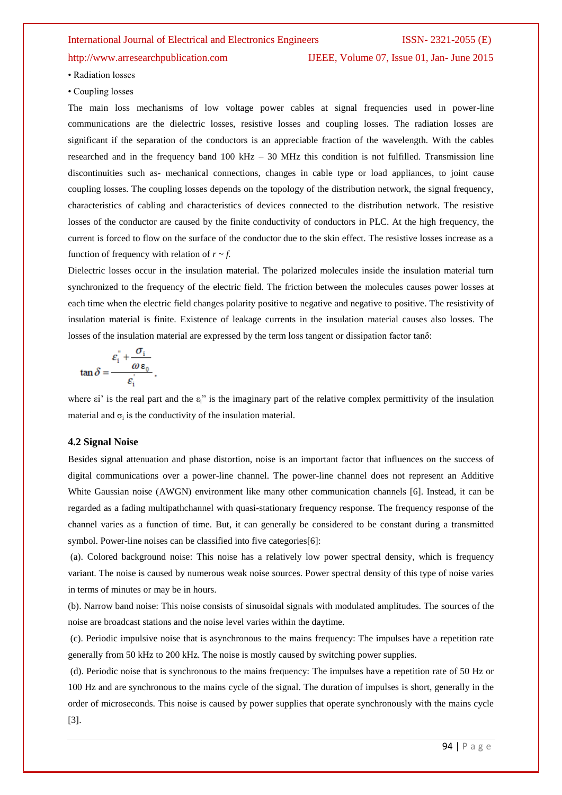# http://www.arresearchpublication.com IJEEE, Volume 07, Issue 01, Jan- June 2015

• Radiation losses

• Coupling losses

The main loss mechanisms of low voltage power cables at signal frequencies used in power-line communications are the dielectric losses, resistive losses and coupling losses. The radiation losses are significant if the separation of the conductors is an appreciable fraction of the wavelength. With the cables researched and in the frequency band 100 kHz – 30 MHz this condition is not fulfilled. Transmission line discontinuities such as- mechanical connections, changes in cable type or load appliances, to joint cause coupling losses. The coupling losses depends on the topology of the distribution network, the signal frequency, characteristics of cabling and characteristics of devices connected to the distribution network. The resistive losses of the conductor are caused by the finite conductivity of conductors in PLC. At the high frequency, the current is forced to flow on the surface of the conductor due to the skin effect. The resistive losses increase as a function of frequency with relation of  $r \sim f$ .

Dielectric losses occur in the insulation material. The polarized molecules inside the insulation material turn synchronized to the frequency of the electric field. The friction between the molecules causes power losses at each time when the electric field changes polarity positive to negative and negative to positive. The resistivity of insulation material is finite. Existence of leakage currents in the insulation material causes also losses. The losses of the insulation material are expressed by the term loss tangent or dissipation factor tanδ:

$$
\tan \delta = \frac{\varepsilon_i^{\prime \prime} + \frac{\sigma_i}{\omega \varepsilon_0}}{\varepsilon_i^{\prime}},
$$

where  $\epsilon$ i' is the real part and the  $\epsilon$ <sup>3</sup> is the imaginary part of the relative complex permittivity of the insulation material and  $\sigma_i$  is the conductivity of the insulation material.

#### **4.2 Signal Noise**

Besides signal attenuation and phase distortion, noise is an important factor that influences on the success of digital communications over a power-line channel. The power-line channel does not represent an Additive White Gaussian noise (AWGN) environment like many other communication channels [6]. Instead, it can be regarded as a fading multipathchannel with quasi-stationary frequency response. The frequency response of the channel varies as a function of time. But, it can generally be considered to be constant during a transmitted symbol. Power-line noises can be classified into five categories[6]:

(a). Colored background noise: This noise has a relatively low power spectral density, which is frequency variant. The noise is caused by numerous weak noise sources. Power spectral density of this type of noise varies in terms of minutes or may be in hours.

(b). Narrow band noise: This noise consists of sinusoidal signals with modulated amplitudes. The sources of the noise are broadcast stations and the noise level varies within the daytime.

(c). Periodic impulsive noise that is asynchronous to the mains frequency: The impulses have a repetition rate generally from 50 kHz to 200 kHz. The noise is mostly caused by switching power supplies.

(d). Periodic noise that is synchronous to the mains frequency: The impulses have a repetition rate of 50 Hz or 100 Hz and are synchronous to the mains cycle of the signal. The duration of impulses is short, generally in the order of microseconds. This noise is caused by power supplies that operate synchronously with the mains cycle [3].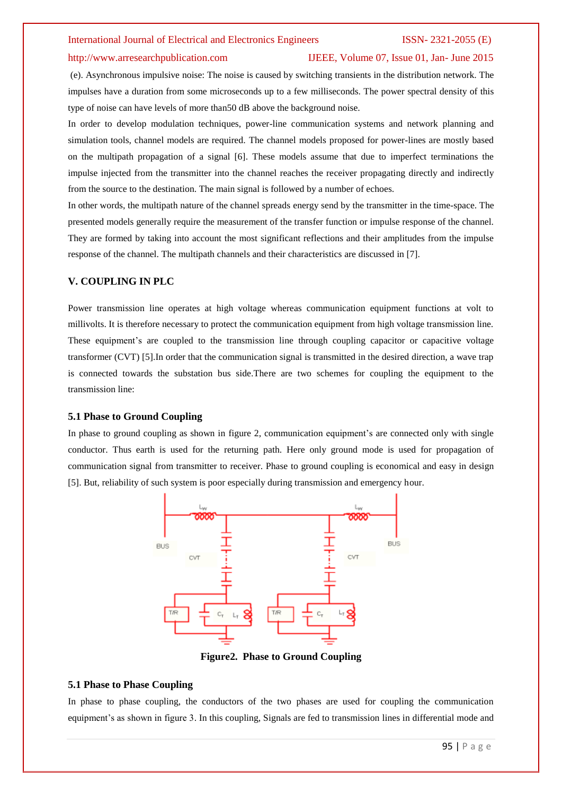#### http://www.arresearchpublication.com IJEEE, Volume 07, Issue 01, Jan- June 2015

(e). Asynchronous impulsive noise: The noise is caused by switching transients in the distribution network. The impulses have a duration from some microseconds up to a few milliseconds. The power spectral density of this type of noise can have levels of more than50 dB above the background noise.

In order to develop modulation techniques, power-line communication systems and network planning and simulation tools, channel models are required. The channel models proposed for power-lines are mostly based on the multipath propagation of a signal [6]. These models assume that due to imperfect terminations the impulse injected from the transmitter into the channel reaches the receiver propagating directly and indirectly from the source to the destination. The main signal is followed by a number of echoes.

In other words, the multipath nature of the channel spreads energy send by the transmitter in the time-space. The presented models generally require the measurement of the transfer function or impulse response of the channel. They are formed by taking into account the most significant reflections and their amplitudes from the impulse response of the channel. The multipath channels and their characteristics are discussed in [7].

### **V. COUPLING IN PLC**

Power transmission line operates at high voltage whereas communication equipment functions at volt to millivolts. It is therefore necessary to protect the communication equipment from high voltage transmission line. These equipment's are coupled to the transmission line through coupling capacitor or capacitive voltage transformer (CVT) [5].In order that the communication signal is transmitted in the desired direction, a wave trap is connected towards the substation bus side.There are two schemes for coupling the equipment to the transmission line:

### **5.1 Phase to Ground Coupling**

In phase to ground coupling as shown in figure 2, communication equipment's are connected only with single conductor. Thus earth is used for the returning path. Here only ground mode is used for propagation of communication signal from transmitter to receiver. Phase to ground coupling is economical and easy in design [5]. But, reliability of such system is poor especially during transmission and emergency hour.



**Figure2. Phase to Ground Coupling**

#### **5.1 Phase to Phase Coupling**

In phase to phase coupling, the conductors of the two phases are used for coupling the communication equipment's as shown in figure 3. In this coupling, Signals are fed to transmission lines in differential mode and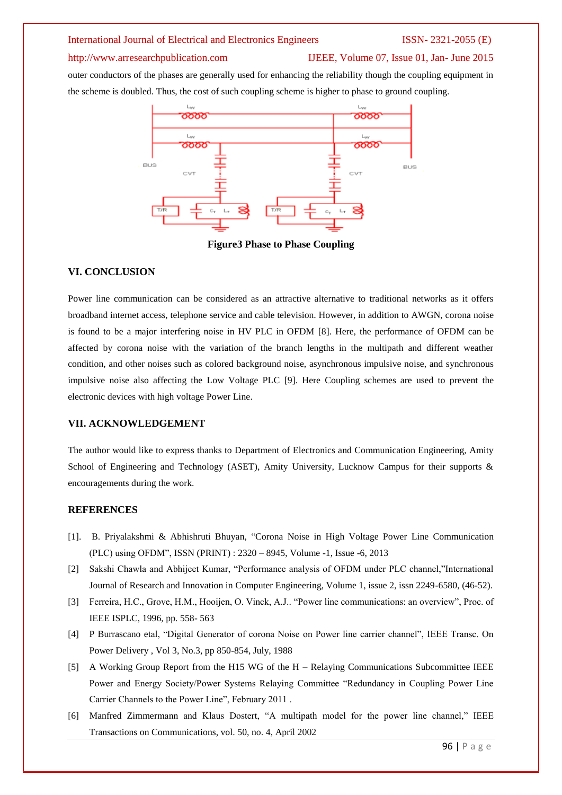# http://www.arresearchpublication.com IJEEE, Volume 07, Issue 01, Jan- June 2015

outer conductors of the phases are generally used for enhancing the reliability though the coupling equipment in the scheme is doubled. Thus, the cost of such coupling scheme is higher to phase to ground coupling.



**Figure3 Phase to Phase Coupling**

### **VI. CONCLUSION**

Power line communication can be considered as an attractive alternative to traditional networks as it offers broadband internet access, telephone service and cable television. However, in addition to AWGN, corona noise is found to be a major interfering noise in HV PLC in OFDM [8]. Here, the performance of OFDM can be affected by corona noise with the variation of the branch lengths in the multipath and different weather condition, and other noises such as colored background noise, asynchronous impulsive noise, and synchronous impulsive noise also affecting the Low Voltage PLC [9]. Here Coupling schemes are used to prevent the electronic devices with high voltage Power Line.

### **VII. ACKNOWLEDGEMENT**

The author would like to express thanks to Department of Electronics and Communication Engineering, Amity School of Engineering and Technology (ASET), Amity University, Lucknow Campus for their supports & encouragements during the work.

### **REFERENCES**

- [1]. B. Priyalakshmi & Abhishruti Bhuyan, "Corona Noise in High Voltage Power Line Communication (PLC) using OFDM", ISSN (PRINT) : 2320 – 8945, Volume -1, Issue -6, 2013
- [2] Sakshi Chawla and Abhijeet Kumar, "Performance analysis of OFDM under PLC channel,"International Journal of Research and Innovation in Computer Engineering, Volume 1, issue 2, issn 2249-6580, (46-52).
- [3] Ferreira, H.C., Grove, H.M., Hooijen, O. Vinck, A.J.. "Power line communications: an overview", Proc. of IEEE ISPLC, 1996, pp. 558- 563
- [4] P Burrascano etal, "Digital Generator of corona Noise on Power line carrier channel", IEEE Transc. On Power Delivery , Vol 3, No.3, pp 850-854, July, 1988
- [5] A Working Group Report from the H15 WG of the H Relaying Communications Subcommittee IEEE Power and Energy Society/Power Systems Relaying Committee "Redundancy in Coupling Power Line Carrier Channels to the Power Line", February 2011 .
- [6] Manfred Zimmermann and Klaus Dostert, "A multipath model for the power line channel," IEEE Transactions on Communications, vol. 50, no. 4, April 2002